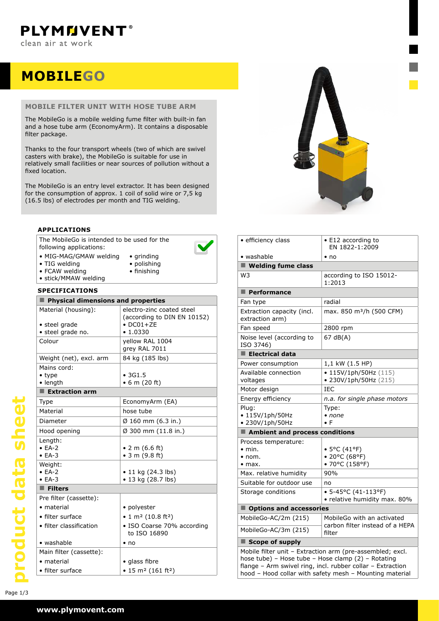## **MOBILEgo**

#### **mobile filter unit with hose tube arm**

The MobileGo is a mobile welding fume filter with built-in fan and a hose tube arm (EconomyArm). It contains a disposable filter package.

Thanks to the four transport wheels (two of which are swivel casters with brake), the MobileGo is suitable for use in relatively small facilities or near sources of pollution without a fixed location.

The MobileGo is an entry level extractor. It has been designed for the consumption of approx. 1 coil of solid wire or 7,5 kg (16.5 lbs) of electrodes per month and TIG welding.

#### **applications**

The MobileGo is intended to be used for the following applications:



- • MIG-MAG/GMAW welding • TIG welding
- • grinding • polishing • finishing
- FCAW welding
- • stick/MMAW welding

| <b>SPECIFICATIONS</b>                                                      |                                                                                           |  |  |  |
|----------------------------------------------------------------------------|-------------------------------------------------------------------------------------------|--|--|--|
| Physical dimensions and properties                                         |                                                                                           |  |  |  |
| Material (housing):<br>• steel grade<br>· steel grade no.                  | electro-zinc coated steel<br>(according to DIN EN 10152)<br>$\bullet$ DC01+ZE<br>• 1.0330 |  |  |  |
| Colour                                                                     | yellow RAL 1004<br>grey RAL 7011                                                          |  |  |  |
| Weight (net), excl. arm                                                    | 84 kg (185 lbs)                                                                           |  |  |  |
| Mains cord:<br>$\bullet$ type<br>• length<br>$\blacksquare$ Extraction arm | •3G1.5<br>• 6 m (20 ft)                                                                   |  |  |  |
| Type                                                                       | EconomyArm (EA)                                                                           |  |  |  |
| Material                                                                   | hose tube                                                                                 |  |  |  |
| Diameter                                                                   |                                                                                           |  |  |  |
|                                                                            | $\emptyset$ 160 mm (6.3 in.)                                                              |  |  |  |
| Hood opening                                                               | Ø 300 mm (11.8 in.)                                                                       |  |  |  |
| Length:<br>$\bullet$ FA-2<br>$\bullet$ EA-3                                | • 2 m $(6.6 \text{ ft})$<br>• 3 m $(9.8 \text{ ft})$                                      |  |  |  |
| Weight:<br>$• EA-2$<br>$\bullet$ EA-3                                      | $\bullet$ 11 kg (24.3 lbs)<br>• 13 kg (28.7 lbs)                                          |  |  |  |
| $\blacksquare$ Filters                                                     |                                                                                           |  |  |  |
| Pre filter (cassette):                                                     |                                                                                           |  |  |  |
| $\bullet$ material                                                         | • polyester                                                                               |  |  |  |
| • filter surface                                                           | • 1 m <sup>2</sup> (10.8 ft <sup>2</sup> )                                                |  |  |  |
| • filter classification                                                    | · ISO Coarse 70% according<br>to ISO 16890                                                |  |  |  |
| • washable                                                                 | $\bullet$ no                                                                              |  |  |  |
| Main filter (cassette):                                                    |                                                                                           |  |  |  |
| • material                                                                 | • glass fibre                                                                             |  |  |  |
| • filter surface                                                           | $\bullet$ 15 m <sup>2</sup> (161 ft <sup>2</sup> )                                        |  |  |  |



| · efficiency class                                                                                                                                                                                                                       | • E12 according to<br>EN 1822-1:2009                        |  |  |  |
|------------------------------------------------------------------------------------------------------------------------------------------------------------------------------------------------------------------------------------------|-------------------------------------------------------------|--|--|--|
| • washable                                                                                                                                                                                                                               | $\cdot$ no                                                  |  |  |  |
| $\blacksquare$ Welding fume class                                                                                                                                                                                                        |                                                             |  |  |  |
| W3                                                                                                                                                                                                                                       | according to ISO 15012-<br>1:2013                           |  |  |  |
| $\blacksquare$ Performance                                                                                                                                                                                                               |                                                             |  |  |  |
| Fan type                                                                                                                                                                                                                                 | radial                                                      |  |  |  |
| Extraction capacity (incl.<br>extraction arm)                                                                                                                                                                                            | max. 850 m <sup>3</sup> /h (500 CFM)                        |  |  |  |
| Fan speed                                                                                                                                                                                                                                | 2800 rpm                                                    |  |  |  |
| Noise level (according to<br>ISO 3746)                                                                                                                                                                                                   | 67 dB(A)                                                    |  |  |  |
| $\blacksquare$ Electrical data                                                                                                                                                                                                           |                                                             |  |  |  |
| Power consumption                                                                                                                                                                                                                        | 1,1 kW (1.5 HP)                                             |  |  |  |
| Available connection<br>voltages                                                                                                                                                                                                         | • 115V/1ph/50Hz (115)<br>• 230V/1ph/50Hz (215)              |  |  |  |
| Motor design                                                                                                                                                                                                                             | IEC                                                         |  |  |  |
| Energy efficiency                                                                                                                                                                                                                        | n.a. for single phase motors                                |  |  |  |
| Plug:<br>$\cdot$ 115V/1ph/50Hz<br>• 230V/1ph/50Hz                                                                                                                                                                                        | Type:<br>• none<br>$\bullet$ F                              |  |  |  |
| Ambient and process conditions                                                                                                                                                                                                           |                                                             |  |  |  |
| Process temperature:<br>$\bullet$ min.<br>$\bullet$ nom.<br>$\bullet$ max.                                                                                                                                                               | • 5°C (41°F)<br>• 20°C (68°F)<br>• 70°C (158°F)             |  |  |  |
| Max. relative humidity                                                                                                                                                                                                                   | 90%                                                         |  |  |  |
| Suitable for outdoor use                                                                                                                                                                                                                 | no                                                          |  |  |  |
| Storage conditions                                                                                                                                                                                                                       | $\bullet$ 5-45°C (41-113°F)<br>• relative humidity max. 80% |  |  |  |
| Options and accessories                                                                                                                                                                                                                  |                                                             |  |  |  |
| MobileGo-AC/2m (215)                                                                                                                                                                                                                     | MobileGo with an activated                                  |  |  |  |
| MobileGo-AC/3m (215)                                                                                                                                                                                                                     | carbon filter instead of a HEPA<br>filter                   |  |  |  |
| $\blacksquare$ Scope of supply                                                                                                                                                                                                           |                                                             |  |  |  |
| Mobile filter unit - Extraction arm (pre-assembled; excl.<br>hose tube) - Hose tube - Hose clamp (2) - Rotating<br>flange - Arm swivel ring, incl. rubber collar - Extraction<br>hood - Hood collar with safety mesh - Mounting material |                                                             |  |  |  |

product data sheet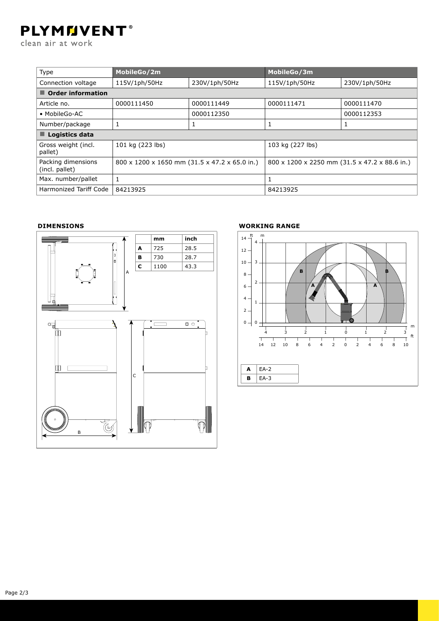# **PLYMMVENT®**

clean air at work

| Type                                 | MobileGo/2m                                   |               | MobileGo/3m                                   |               |  |  |
|--------------------------------------|-----------------------------------------------|---------------|-----------------------------------------------|---------------|--|--|
| Connection voltage                   | 115V/1ph/50Hz                                 | 230V/1ph/50Hz | 115V/1ph/50Hz                                 | 230V/1ph/50Hz |  |  |
| $\blacksquare$ Order information     |                                               |               |                                               |               |  |  |
| Article no.                          | 0000111450                                    | 0000111449    | 0000111471                                    | 0000111470    |  |  |
| • MobileGo-AC                        |                                               | 0000112350    |                                               | 0000112353    |  |  |
| Number/package                       |                                               |               |                                               | 1             |  |  |
| $\blacksquare$ Logistics data        |                                               |               |                                               |               |  |  |
| Gross weight (incl.<br>pallet)       | 101 kg (223 lbs)                              |               | 103 kg (227 lbs)                              |               |  |  |
| Packing dimensions<br>(incl. pallet) | 800 x 1200 x 1650 mm (31.5 x 47.2 x 65.0 in.) |               | 800 x 1200 x 2250 mm (31.5 x 47.2 x 88.6 in.) |               |  |  |
| Max. number/pallet                   |                                               |               |                                               |               |  |  |
| <b>Harmonized Tariff Code</b>        | 84213925                                      |               | 84213925                                      |               |  |  |

#### **Dimensions**